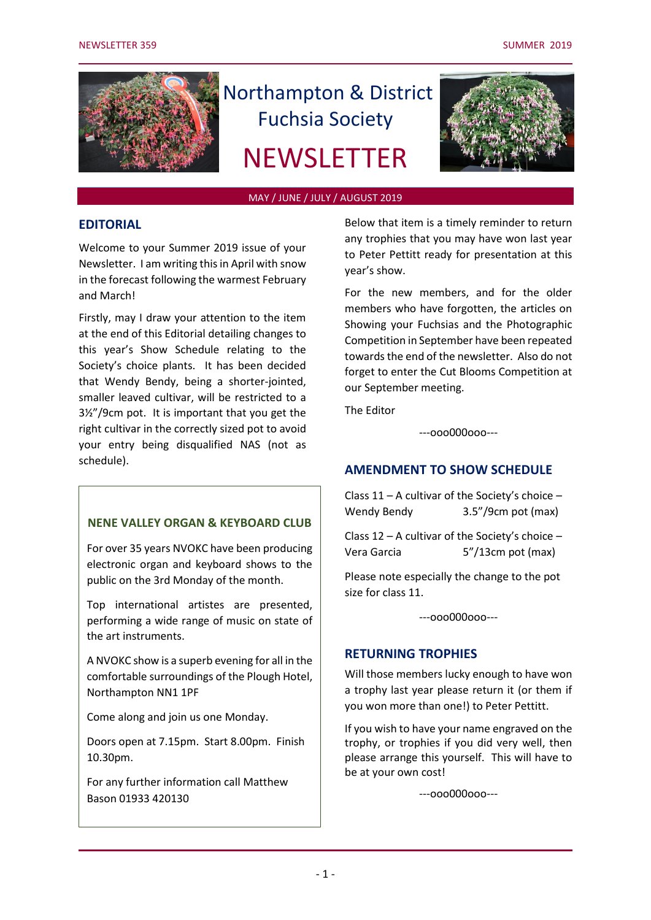

# Northampton & District Fuchsia Society

# **NEWSLETTER**



#### MAY / JUNE / JULY / AUGUST 2019

## **EDITORIAL**

Welcome to your Summer 2019 issue of your Newsletter. I am writing this in April with snow in the forecast following the warmest February and March!

Firstly, may I draw your attention to the item at the end of this Editorial detailing changes to this year's Show Schedule relating to the Society's choice plants. It has been decided that Wendy Bendy, being a shorter-jointed, smaller leaved cultivar, will be restricted to a 3½"/9cm pot. It is important that you get the right cultivar in the correctly sized pot to avoid your entry being disqualified NAS (not as schedule).

## **NENE VALLEY ORGAN & KEYBOARD CLUB**

For over 35 years NVOKC have been producing electronic organ and keyboard shows to the public on the 3rd Monday of the month.

Top international artistes are presented, performing a wide range of music on state of the art instruments.

A NVOKC show is a superb evening for all in the comfortable surroundings of the Plough Hotel, Northampton NN1 1PF

Come along and join us one Monday.

Doors open at 7.15pm. Start 8.00pm. Finish 10.30pm.

For any further information call Matthew Bason 01933 420130

Below that item is a timely reminder to return any trophies that you may have won last year to Peter Pettitt ready for presentation at this year's show.

For the new members, and for the older members who have forgotten, the articles on Showing your Fuchsias and the Photographic Competition in September have been repeated towards the end of the newsletter. Also do not forget to enter the Cut Blooms Competition at our September meeting.

The Editor

---ooo000ooo---

## **AMENDMENT TO SHOW SCHEDULE**

Class 11 – A cultivar of the Society's choice – Wendy Bendy 3.5"/9cm pot (max)

Class 12 – A cultivar of the Society's choice – Vera Garcia 5"/13cm pot (max)

Please note especially the change to the pot size for class 11.

---ooo000ooo---

## **RETURNING TROPHIES**

Will those members lucky enough to have won a trophy last year please return it (or them if you won more than one!) to Peter Pettitt.

If you wish to have your name engraved on the trophy, or trophies if you did very well, then please arrange this yourself. This will have to be at your own cost!

---ooo000ooo---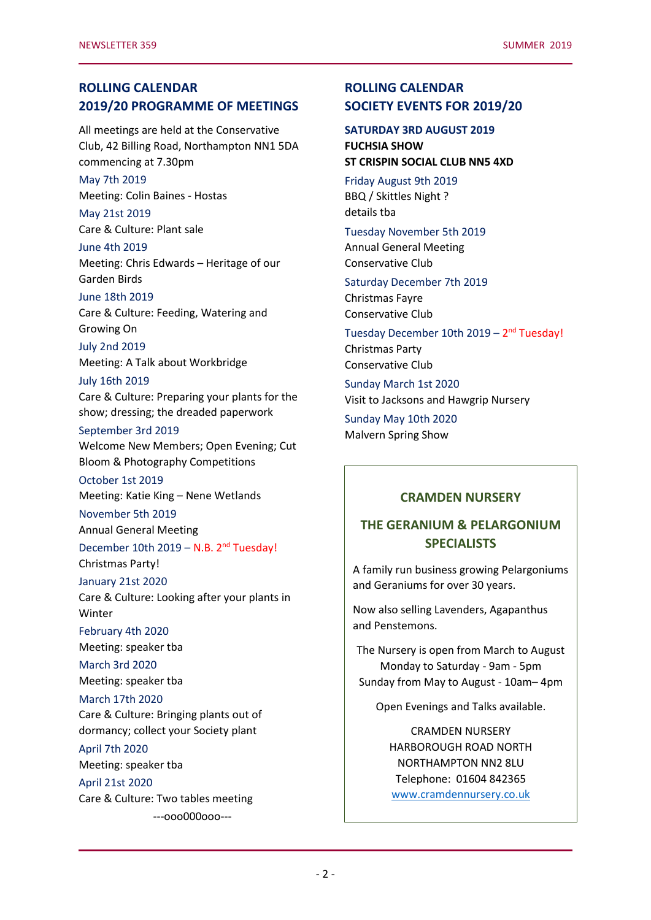## **ROLLING CALENDAR 2019/20 PROGRAMME OF MEETINGS**

All meetings are held at the Conservative Club, 42 Billing Road, Northampton NN1 5DA commencing at 7.30pm

May 7th 2019 Meeting: Colin Baines - Hostas

May 21st 2019 Care & Culture: Plant sale

June 4th 2019 Meeting: Chris Edwards – Heritage of our Garden Birds

#### June 18th 2019

Care & Culture: Feeding, Watering and Growing On

July 2nd 2019 Meeting: A Talk about Workbridge

July 16th 2019 Care & Culture: Preparing your plants for the show; dressing; the dreaded paperwork

## September 3rd 2019

Welcome New Members; Open Evening; Cut Bloom & Photography Competitions

October 1st 2019

Meeting: Katie King – Nene Wetlands

November 5th 2019

Annual General Meeting

December 10th 2019 - N.B. 2<sup>nd</sup> Tuesday!

Christmas Party!

January 21st 2020

Care & Culture: Looking after your plants in Winter

February 4th 2020

Meeting: speaker tba

March 3rd 2020 Meeting: speaker tba

March 17th 2020

Care & Culture: Bringing plants out of dormancy; collect your Society plant

April 7th 2020

Meeting: speaker tba

April 21st 2020

Care & Culture: Two tables meeting

---ooo000ooo---

## **ROLLING CALENDAR SOCIETY EVENTS FOR 2019/20**

**SATURDAY 3RD AUGUST 2019 FUCHSIA SHOW ST CRISPIN SOCIAL CLUB NN5 4XD**

Friday August 9th 2019

BBQ / Skittles Night ? details tba

## Tuesday November 5th 2019

Annual General Meeting Conservative Club

Saturday December 7th 2019 Christmas Fayre Conservative Club

Tuesday December 10th 2019 - 2<sup>nd</sup> Tuesday! Christmas Party Conservative Club

Sunday March 1st 2020 Visit to Jacksons and Hawgrip Nursery

Sunday May 10th 2020 Malvern Spring Show

## **CRAMDEN NURSERY**

# **THE GERANIUM & PELARGONIUM SPECIALISTS**

A family run business growing Pelargoniums and Geraniums for over 30 years.

Now also selling Lavenders, Agapanthus and Penstemons.

The Nursery is open from March to August Monday to Saturday - 9am - 5pm Sunday from May to August - 10am– 4pm

Open Evenings and Talks available.

CRAMDEN NURSERY HARBOROUGH ROAD NORTH NORTHAMPTON NN2 8LU Telephone: 01604 842365 [www.cramdennursery.co.uk](http://www.cramdennursery.co.uk/)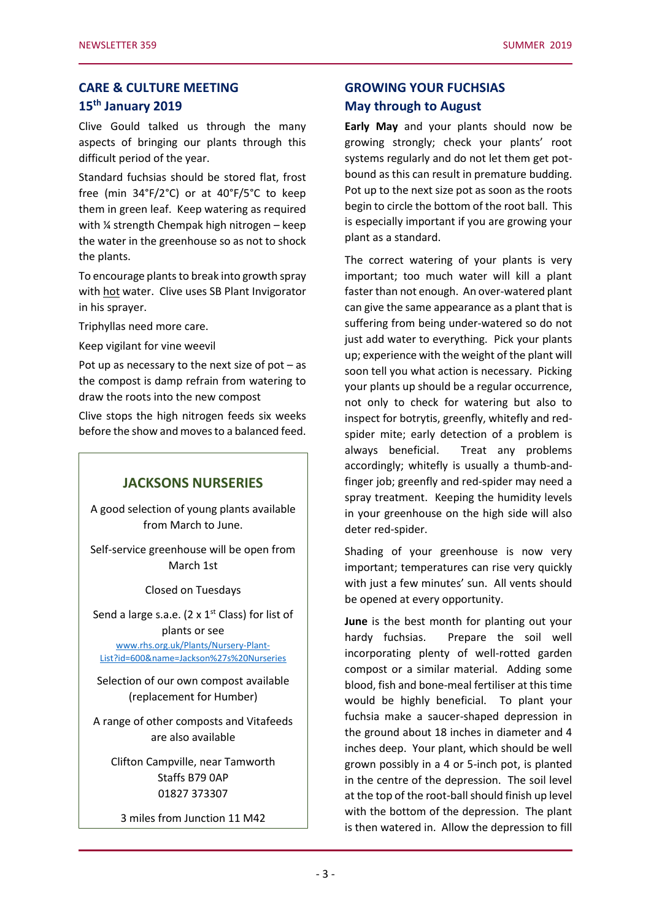## **CARE & CULTURE MEETING 15th January 2019**

Clive Gould talked us through the many aspects of bringing our plants through this difficult period of the year.

Standard fuchsias should be stored flat, frost free (min 34°F/2°C) or at 40°F/5°C to keep them in green leaf. Keep watering as required with ¼ strength Chempak high nitrogen – keep the water in the greenhouse so as not to shock the plants.

To encourage plants to break into growth spray with hot water. Clive uses SB Plant Invigorator in his sprayer.

Triphyllas need more care.

Keep vigilant for vine weevil

Pot up as necessary to the next size of  $pot - as$ the compost is damp refrain from watering to draw the roots into the new compost

Clive stops the high nitrogen feeds six weeks before the show and moves to a balanced feed.

## **JACKSONS NURSERIES**

A good selection of young plants available from March to June.

Self-service greenhouse will be open from March 1st

Closed on Tuesdays

Send a large s.a.e. (2  $\times$  1st Class) for list of

plants or see [www.rhs.org.uk/Plants/Nursery-Plant-](file:///C:/Users/Peter/Documents/NDFS/www.rhs.org.uk/Plants/Nursery-Plant-List%3fid=600&name=Jackson)[List?id=600&name=Jackson%27s%20Nurseries](file:///C:/Users/Peter/Documents/NDFS/www.rhs.org.uk/Plants/Nursery-Plant-List%3fid=600&name=Jackson)

Selection of our own compost available (replacement for Humber)

A range of other composts and Vitafeeds are also available

Clifton Campville, near Tamworth Staffs B79 0AP 01827 373307

3 miles from Junction 11 M42

## **GROWING YOUR FUCHSIAS May through to August**

**Early May** and your plants should now be growing strongly; check your plants' root systems regularly and do not let them get potbound as this can result in premature budding. Pot up to the next size pot as soon as the roots begin to circle the bottom of the root ball. This is especially important if you are growing your plant as a standard.

The correct watering of your plants is very important; too much water will kill a plant faster than not enough. An over-watered plant can give the same appearance as a plant that is suffering from being under-watered so do not just add water to everything. Pick your plants up; experience with the weight of the plant will soon tell you what action is necessary. Picking your plants up should be a regular occurrence, not only to check for watering but also to inspect for botrytis, greenfly, whitefly and redspider mite; early detection of a problem is always beneficial. Treat any problems accordingly; whitefly is usually a thumb-andfinger job; greenfly and red-spider may need a spray treatment. Keeping the humidity levels in your greenhouse on the high side will also deter red-spider.

Shading of your greenhouse is now very important; temperatures can rise very quickly with just a few minutes' sun. All vents should be opened at every opportunity.

**June** is the best month for planting out your hardy fuchsias. Prepare the soil well incorporating plenty of well-rotted garden compost or a similar material. Adding some blood, fish and bone-meal fertiliser at this time would be highly beneficial. To plant your fuchsia make a saucer-shaped depression in the ground about 18 inches in diameter and 4 inches deep. Your plant, which should be well grown possibly in a 4 or 5-inch pot, is planted in the centre of the depression. The soil level at the top of the root-ball should finish up level with the bottom of the depression. The plant is then watered in. Allow the depression to fill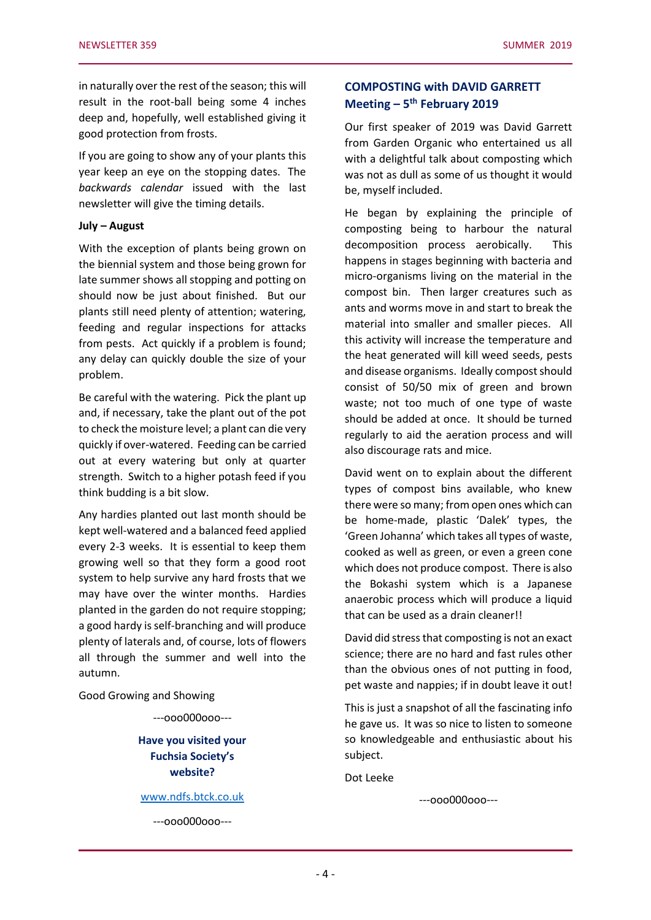in naturally over the rest of the season; this will result in the root-ball being some 4 inches deep and, hopefully, well established giving it good protection from frosts.

If you are going to show any of your plants this year keep an eye on the stopping dates. The *backwards calendar* issued with the last newsletter will give the timing details.

#### **July – August**

With the exception of plants being grown on the biennial system and those being grown for late summer shows all stopping and potting on should now be just about finished. But our plants still need plenty of attention; watering, feeding and regular inspections for attacks from pests. Act quickly if a problem is found; any delay can quickly double the size of your problem.

Be careful with the watering. Pick the plant up and, if necessary, take the plant out of the pot to check the moisture level; a plant can die very quickly if over-watered. Feeding can be carried out at every watering but only at quarter strength. Switch to a higher potash feed if you think budding is a bit slow.

Any hardies planted out last month should be kept well-watered and a balanced feed applied every 2-3 weeks. It is essential to keep them growing well so that they form a good root system to help survive any hard frosts that we may have over the winter months. Hardies planted in the garden do not require stopping; a good hardy is self-branching and will produce plenty of laterals and, of course, lots of flowers all through the summer and well into the autumn.

Good Growing and Showing

---ooo000ooo---

## **Have you visited your Fuchsia Society's website?**

[www.ndfs.btck.co.uk](http://www.ndfs.btck.co.uk/)

---ooo000ooo---

## **COMPOSTING with DAVID GARRETT Meeting – 5 th February 2019**

Our first speaker of 2019 was David Garrett from Garden Organic who entertained us all with a delightful talk about composting which was not as dull as some of us thought it would be, myself included.

He began by explaining the principle of composting being to harbour the natural decomposition process aerobically. This happens in stages beginning with bacteria and micro-organisms living on the material in the compost bin. Then larger creatures such as ants and worms move in and start to break the material into smaller and smaller pieces. All this activity will increase the temperature and the heat generated will kill weed seeds, pests and disease organisms. Ideally compost should consist of 50/50 mix of green and brown waste; not too much of one type of waste should be added at once. It should be turned regularly to aid the aeration process and will also discourage rats and mice.

David went on to explain about the different types of compost bins available, who knew there were so many; from open ones which can be home-made, plastic 'Dalek' types, the 'Green Johanna' which takes all types of waste, cooked as well as green, or even a green cone which does not produce compost. There is also the Bokashi system which is a Japanese anaerobic process which will produce a liquid that can be used as a drain cleaner!!

David did stress that composting is not an exact science; there are no hard and fast rules other than the obvious ones of not putting in food, pet waste and nappies; if in doubt leave it out!

This is just a snapshot of all the fascinating info he gave us. It was so nice to listen to someone so knowledgeable and enthusiastic about his subject.

Dot Leeke

---ooo000ooo---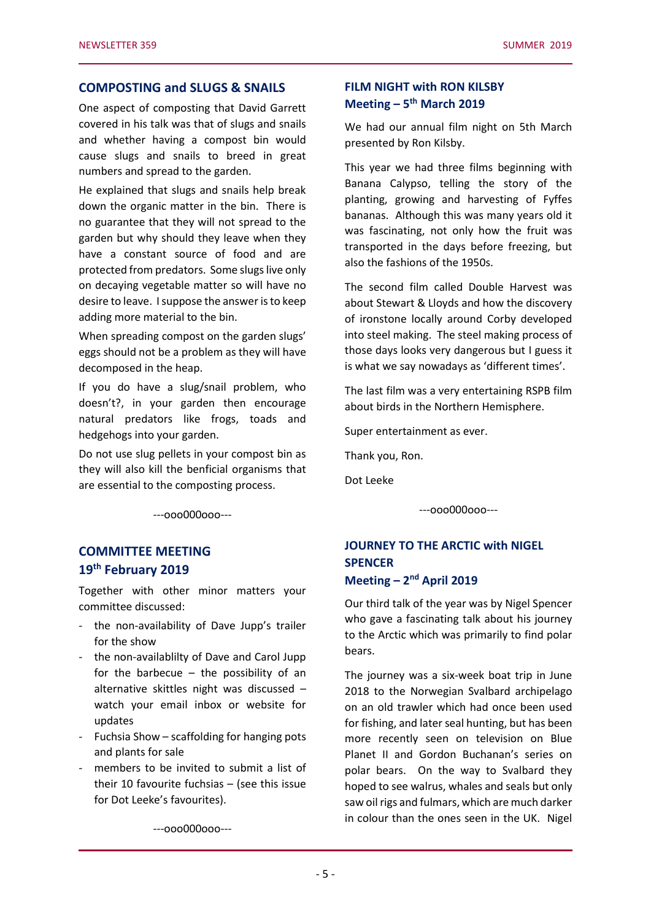## **COMPOSTING and SLUGS & SNAILS**

One aspect of composting that David Garrett covered in his talk was that of slugs and snails and whether having a compost bin would cause slugs and snails to breed in great numbers and spread to the garden.

He explained that slugs and snails help break down the organic matter in the bin. There is no guarantee that they will not spread to the garden but why should they leave when they have a constant source of food and are protected from predators. Some slugs live only on decaying vegetable matter so will have no desire to leave. I suppose the answer is to keep adding more material to the bin.

When spreading compost on the garden slugs' eggs should not be a problem as they will have decomposed in the heap.

If you do have a slug/snail problem, who doesn't?, in your garden then encourage natural predators like frogs, toads and hedgehogs into your garden.

Do not use slug pellets in your compost bin as they will also kill the benficial organisms that are essential to the composting process.

---ooo000ooo---

## **COMMITTEE MEETING 19th February 2019**

Together with other minor matters your committee discussed:

- the non-availability of Dave Jupp's trailer for the show
- the non-availablilty of Dave and Carol Jupp for the barbecue – the possibility of an alternative skittles night was discussed – watch your email inbox or website for updates
- Fuchsia Show scaffolding for hanging pots and plants for sale
- members to be invited to submit a list of their 10 favourite fuchsias – (see this issue for Dot Leeke's favourites).

---ooo000ooo---

## **FILM NIGHT with RON KILSBY Meeting – 5 th March 2019**

We had our annual film night on 5th March presented by Ron Kilsby.

This year we had three films beginning with Banana Calypso, telling the story of the planting, growing and harvesting of Fyffes bananas. Although this was many years old it was fascinating, not only how the fruit was transported in the days before freezing, but also the fashions of the 1950s.

The second film called Double Harvest was about Stewart & Lloyds and how the discovery of ironstone locally around Corby developed into steel making. The steel making process of those days looks very dangerous but I guess it is what we say nowadays as 'different times'.

The last film was a very entertaining RSPB film about birds in the Northern Hemisphere.

Super entertainment as ever.

Thank you, Ron.

Dot Leeke

---ooo000ooo---

# **JOURNEY TO THE ARCTIC with NIGEL SPENCER Meeting – 2 nd April 2019**

Our third talk of the year was by Nigel Spencer who gave a fascinating talk about his journey to the Arctic which was primarily to find polar bears.

The journey was a six-week boat trip in June 2018 to the Norwegian Svalbard archipelago on an old trawler which had once been used for fishing, and later seal hunting, but has been more recently seen on television on Blue Planet II and Gordon Buchanan's series on polar bears. On the way to Svalbard they hoped to see walrus, whales and seals but only saw oil rigs and fulmars, which are much darker in colour than the ones seen in the UK. Nigel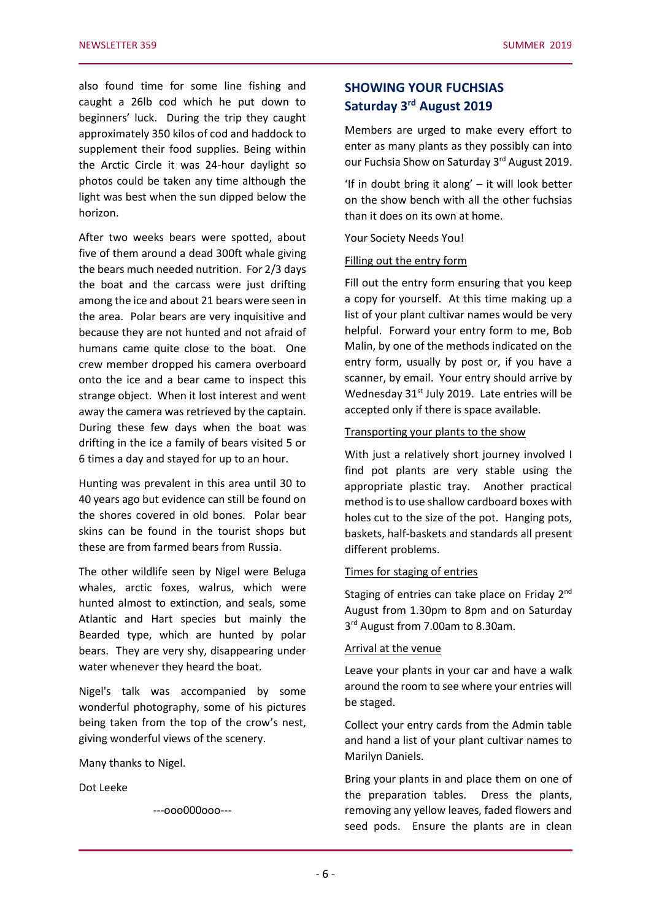also found time for some line fishing and caught a 26lb cod which he put down to beginners' luck. During the trip they caught approximately 350 kilos of cod and haddock to supplement their food supplies. Being within the Arctic Circle it was 24-hour daylight so photos could be taken any time although the light was best when the sun dipped below the horizon.

After two weeks bears were spotted, about five of them around a dead 300ft whale giving the bears much needed nutrition. For 2/3 days the boat and the carcass were just drifting among the ice and about 21 bears were seen in the area. Polar bears are very inquisitive and because they are not hunted and not afraid of humans came quite close to the boat. One crew member dropped his camera overboard onto the ice and a bear came to inspect this strange object. When it lost interest and went away the camera was retrieved by the captain. During these few days when the boat was drifting in the ice a family of bears visited 5 or 6 times a day and stayed for up to an hour.

Hunting was prevalent in this area until 30 to 40 years ago but evidence can still be found on the shores covered in old bones. Polar bear skins can be found in the tourist shops but these are from farmed bears from Russia.

The other wildlife seen by Nigel were Beluga whales, arctic foxes, walrus, which were hunted almost to extinction, and seals, some Atlantic and Hart species but mainly the Bearded type, which are hunted by polar bears. They are very shy, disappearing under water whenever they heard the boat.

Nigel's talk was accompanied by some wonderful photography, some of his pictures being taken from the top of the crow's nest, giving wonderful views of the scenery.

Many thanks to Nigel.

Dot Leeke

---ooo000ooo---

# **SHOWING YOUR FUCHSIAS Saturday 3 rd August 2019**

Members are urged to make every effort to enter as many plants as they possibly can into our Fuchsia Show on Saturday 3rd August 2019.

'If in doubt bring it along' – it will look better on the show bench with all the other fuchsias than it does on its own at home.

Your Society Needs You!

#### Filling out the entry form

Fill out the entry form ensuring that you keep a copy for yourself. At this time making up a list of your plant cultivar names would be very helpful. Forward your entry form to me, Bob Malin, by one of the methods indicated on the entry form, usually by post or, if you have a scanner, by email. Your entry should arrive by Wednesday 31<sup>st</sup> July 2019. Late entries will be accepted only if there is space available.

#### Transporting your plants to the show

With just a relatively short journey involved I find pot plants are very stable using the appropriate plastic tray. Another practical method is to use shallow cardboard boxes with holes cut to the size of the pot. Hanging pots, baskets, half-baskets and standards all present different problems.

## Times for staging of entries

Staging of entries can take place on Friday 2<sup>nd</sup> August from 1.30pm to 8pm and on Saturday 3<sup>rd</sup> August from 7.00am to 8.30am.

#### Arrival at the venue

Leave your plants in your car and have a walk around the room to see where your entries will be staged.

Collect your entry cards from the Admin table and hand a list of your plant cultivar names to Marilyn Daniels.

Bring your plants in and place them on one of the preparation tables. Dress the plants, removing any yellow leaves, faded flowers and seed pods. Ensure the plants are in clean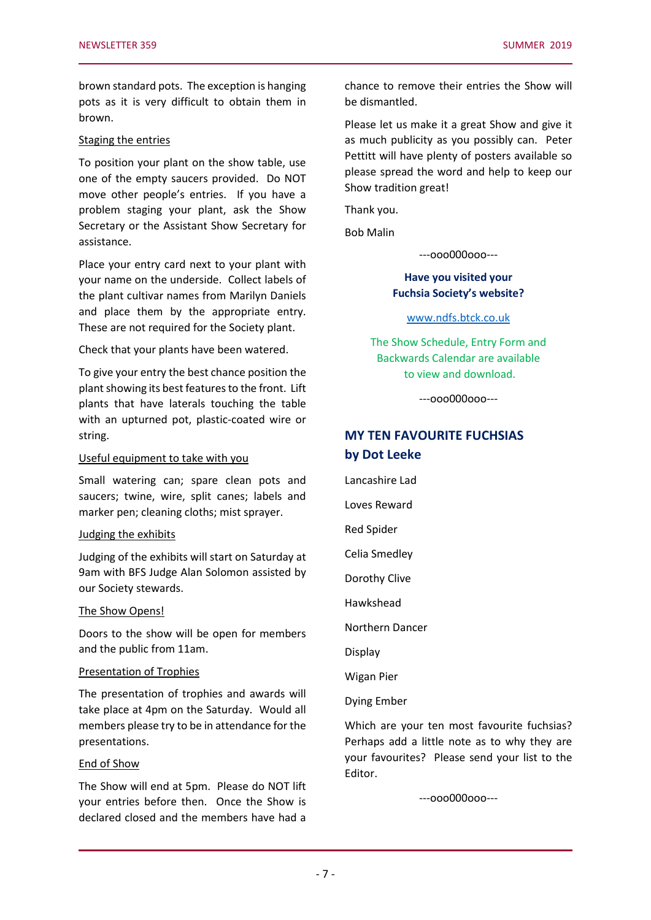brown standard pots. The exception is hanging pots as it is very difficult to obtain them in brown.

#### Staging the entries

To position your plant on the show table, use one of the empty saucers provided. Do NOT move other people's entries. If you have a problem staging your plant, ask the Show Secretary or the Assistant Show Secretary for assistance.

Place your entry card next to your plant with your name on the underside. Collect labels of the plant cultivar names from Marilyn Daniels and place them by the appropriate entry. These are not required for the Society plant.

Check that your plants have been watered.

To give your entry the best chance position the plant showing its best features to the front. Lift plants that have laterals touching the table with an upturned pot, plastic-coated wire or string.

## Useful equipment to take with you

Small watering can; spare clean pots and saucers; twine, wire, split canes; labels and marker pen; cleaning cloths; mist sprayer.

#### Judging the exhibits

Judging of the exhibits will start on Saturday at 9am with BFS Judge Alan Solomon assisted by our Society stewards.

#### The Show Opens!

Doors to the show will be open for members and the public from 11am.

#### Presentation of Trophies

The presentation of trophies and awards will take place at 4pm on the Saturday. Would all members please try to be in attendance for the presentations.

#### End of Show

The Show will end at 5pm. Please do NOT lift your entries before then. Once the Show is declared closed and the members have had a chance to remove their entries the Show will be dismantled.

Please let us make it a great Show and give it as much publicity as you possibly can. Peter Pettitt will have plenty of posters available so please spread the word and help to keep our Show tradition great!

Thank you.

Bob Malin

---ooo000ooo---

## **Have you visited your Fuchsia Society's website?**

[www.ndfs.btck.co.uk](http://www.ndfs.btck.co.uk/)

The Show Schedule, Entry Form and Backwards Calendar are available to view and download.

---ooo000ooo---

# **MY TEN FAVOURITE FUCHSIAS by Dot Leeke**

Lancashire Lad

Loves Reward

Red Spider

Celia Smedley

Dorothy Clive

Hawkshead

Northern Dancer

Display

Wigan Pier

Dying Ember

Which are your ten most favourite fuchsias? Perhaps add a little note as to why they are your favourites? Please send your list to the Editor.

---ooo000ooo---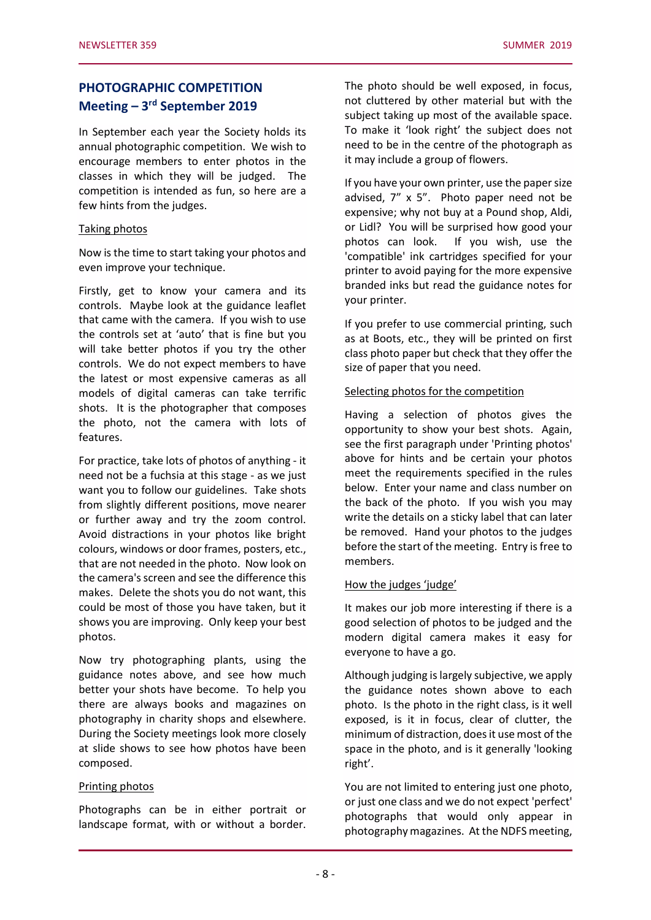# **PHOTOGRAPHIC COMPETITION Meeting – 3 rd September 2019**

In September each year the Society holds its annual photographic competition. We wish to encourage members to enter photos in the classes in which they will be judged. The competition is intended as fun, so here are a few hints from the judges.

#### Taking photos

Now is the time to start taking your photos and even improve your technique.

Firstly, get to know your camera and its controls. Maybe look at the guidance leaflet that came with the camera. If you wish to use the controls set at 'auto' that is fine but you will take better photos if you try the other controls. We do not expect members to have the latest or most expensive cameras as all models of digital cameras can take terrific shots. It is the photographer that composes the photo, not the camera with lots of features.

For practice, take lots of photos of anything - it need not be a fuchsia at this stage - as we just want you to follow our guidelines. Take shots from slightly different positions, move nearer or further away and try the zoom control. Avoid distractions in your photos like bright colours, windows or door frames, posters, etc., that are not needed in the photo. Now look on the camera's screen and see the difference this makes. Delete the shots you do not want, this could be most of those you have taken, but it shows you are improving. Only keep your best photos.

Now try photographing plants, using the guidance notes above, and see how much better your shots have become. To help you there are always books and magazines on photography in charity shops and elsewhere. During the Society meetings look more closely at slide shows to see how photos have been composed.

#### Printing photos

Photographs can be in either portrait or landscape format, with or without a border. The photo should be well exposed, in focus, not cluttered by other material but with the subject taking up most of the available space. To make it 'look right' the subject does not need to be in the centre of the photograph as it may include a group of flowers.

If you have your own printer, use the paper size advised, 7" x 5". Photo paper need not be expensive; why not buy at a Pound shop, Aldi, or Lidl? You will be surprised how good your photos can look. If you wish, use the 'compatible' ink cartridges specified for your printer to avoid paying for the more expensive branded inks but read the guidance notes for your printer.

If you prefer to use commercial printing, such as at Boots, etc., they will be printed on first class photo paper but check that they offer the size of paper that you need.

#### Selecting photos for the competition

Having a selection of photos gives the opportunity to show your best shots. Again, see the first paragraph under 'Printing photos' above for hints and be certain your photos meet the requirements specified in the rules below. Enter your name and class number on the back of the photo. If you wish you may write the details on a sticky label that can later be removed. Hand your photos to the judges before the start of the meeting. Entry is free to members.

#### How the judges 'judge'

It makes our job more interesting if there is a good selection of photos to be judged and the modern digital camera makes it easy for everyone to have a go.

Although judging is largely subjective, we apply the guidance notes shown above to each photo. Is the photo in the right class, is it well exposed, is it in focus, clear of clutter, the minimum of distraction, does it use most of the space in the photo, and is it generally 'looking right'.

You are not limited to entering just one photo, or just one class and we do not expect 'perfect' photographs that would only appear in photography magazines. At the NDFS meeting,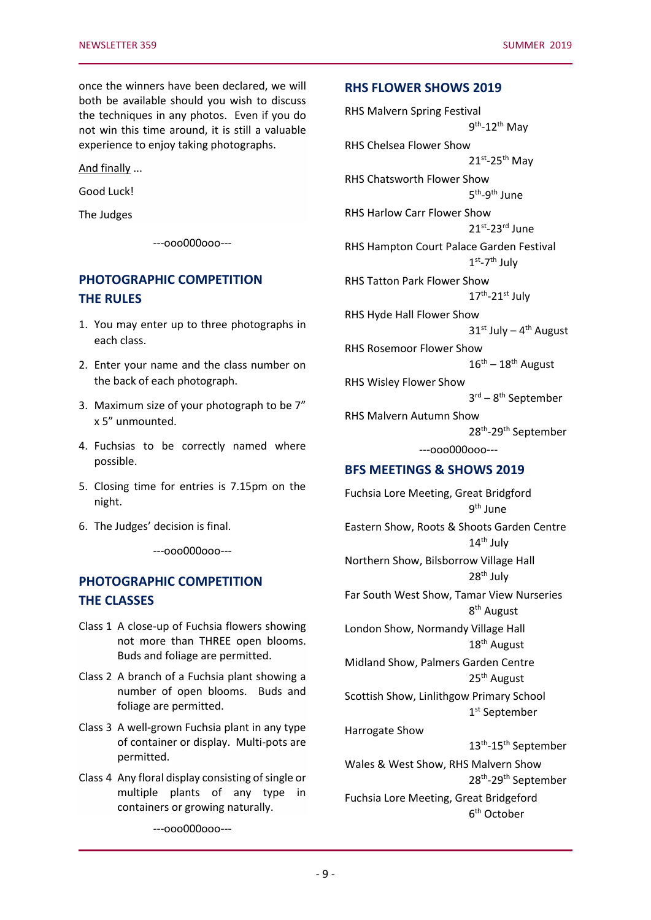once the winners have been declared, we will both be available should you wish to discuss the techniques in any photos. Even if you do not win this time around, it is still a valuable experience to enjoy taking photographs.

And finally ...

Good Luck!

The Judges

---ooo000ooo---

## **PHOTOGRAPHIC COMPETITION THE RULES**

- 1. You may enter up to three photographs in each class.
- 2. Enter your name and the class number on the back of each photograph.
- 3. Maximum size of your photograph to be 7" x 5" unmounted.
- 4. Fuchsias to be correctly named where possible.
- 5. Closing time for entries is 7.15pm on the night.
- 6. The Judges' decision is final.

---ooo000ooo---

# **PHOTOGRAPHIC COMPETITION THE CLASSES**

- Class 1 A close-up of Fuchsia flowers showing not more than THREE open blooms. Buds and foliage are permitted.
- Class 2 A branch of a Fuchsia plant showing a number of open blooms. Buds and foliage are permitted.
- Class 3 A well-grown Fuchsia plant in any type of container or display. Multi-pots are permitted.
- Class 4 Any floral display consisting of single or multiple plants of any type in containers or growing naturally.

---ooo000ooo---

## **RHS FLOWER SHOWS 2019**

RHS Malvern Spring Festival

9<sup>th</sup>-12<sup>th</sup> May RHS Chelsea Flower Show  $21^{st}$ -25<sup>th</sup> May RHS Chatsworth Flower Show 5<sup>th</sup>-9<sup>th</sup> June RHS Harlow Carr Flower Show 21st-23rd June RHS Hampton Court Palace Garden Festival  $1<sup>st</sup> - 7<sup>th</sup>$  July RHS Tatton Park Flower Show 17<sup>th</sup>-21st July RHS Hyde Hall Flower Show 31st July - 4<sup>th</sup> August RHS Rosemoor Flower Show  $16^{\text{th}} - 18^{\text{th}}$  August RHS Wisley Flower Show 3 rd – 8 th September RHS Malvern Autumn Show 28<sup>th</sup>-29<sup>th</sup> September ---ooo000ooo--- **BFS MEETINGS & SHOWS 2019** Fuchsia Lore Meeting, Great Bridgford 9<sup>th</sup> June Eastern Show, Roots & Shoots Garden Centre 14<sup>th</sup> July Northern Show, Bilsborrow Village Hall  $28<sup>th</sup>$  July Far South West Show, Tamar View Nurseries 8<sup>th</sup> August London Show, Normandy Village Hall 18th August Midland Show, Palmers Garden Centre 25<sup>th</sup> August Scottish Show, Linlithgow Primary School 1 st September Harrogate Show 13<sup>th</sup>-15<sup>th</sup> September Wales & West Show, RHS Malvern Show 28<sup>th</sup>-29<sup>th</sup> September Fuchsia Lore Meeting, Great Bridgeford 6 th October